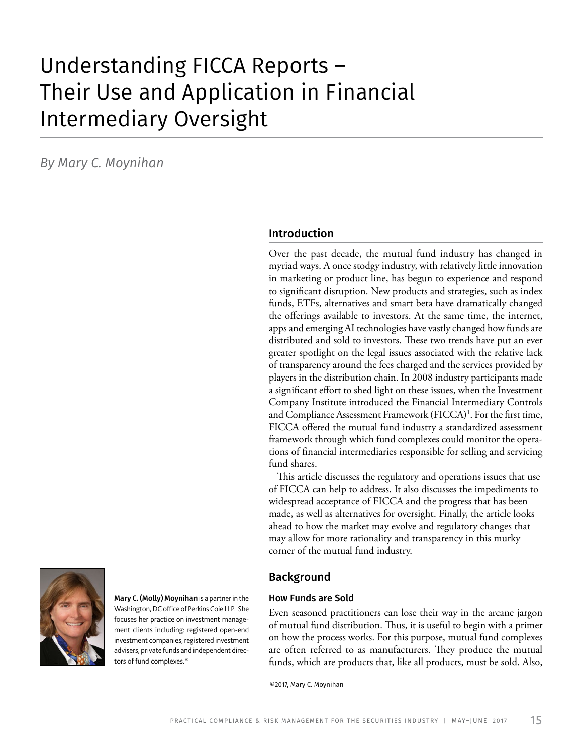# Understanding FICCA Reports – Their Use and Application in Financial Intermediary Oversight

*By Mary C. Moynihan*

### Introduction

Over the past decade, the mutual fund industry has changed in myriad ways. A once stodgy industry, with relatively little innovation in marketing or product line, has begun to experience and respond to significant disruption. New products and strategies, such as index funds, ETFs, alternatives and smart beta have dramatically changed the offerings available to investors. At the same time, the internet, apps and emerging AI technologies have vastly changed how funds are distributed and sold to investors. These two trends have put an ever greater spotlight on the legal issues associated with the relative lack of transparency around the fees charged and the services provided by players in the distribution chain. In 2008 industry participants made a significant effort to shed light on these issues, when the Investment Company Institute introduced the Financial Intermediary Controls and Compliance Assessment Framework (FICCA)<sup>1</sup>. For the first time, FICCA offered the mutual fund industry a standardized assessment framework through which fund complexes could monitor the operations of financial intermediaries responsible for selling and servicing fund shares.

This article discusses the regulatory and operations issues that use of FICCA can help to address. It also discusses the impediments to widespread acceptance of FICCA and the progress that has been made, as well as alternatives for oversight. Finally, the article looks ahead to how the market may evolve and regulatory changes that may allow for more rationality and transparency in this murky corner of the mutual fund industry.

Mary C. (Molly) Moynihan is a partner in the Washington, DC office of Perkins Coie LLP. She focuses her practice on investment management clients including: registered open-end investment companies, registered investment advisers, private funds and independent directors of fund complexes.\*

### Background

#### How Funds are Sold

Even seasoned practitioners can lose their way in the arcane jargon of mutual fund distribution. Thus, it is useful to begin with a primer on how the process works. For this purpose, mutual fund complexes are often referred to as manufacturers. They produce the mutual funds, which are products that, like all products, must be sold. Also,

©2017, Mary C. Moynihan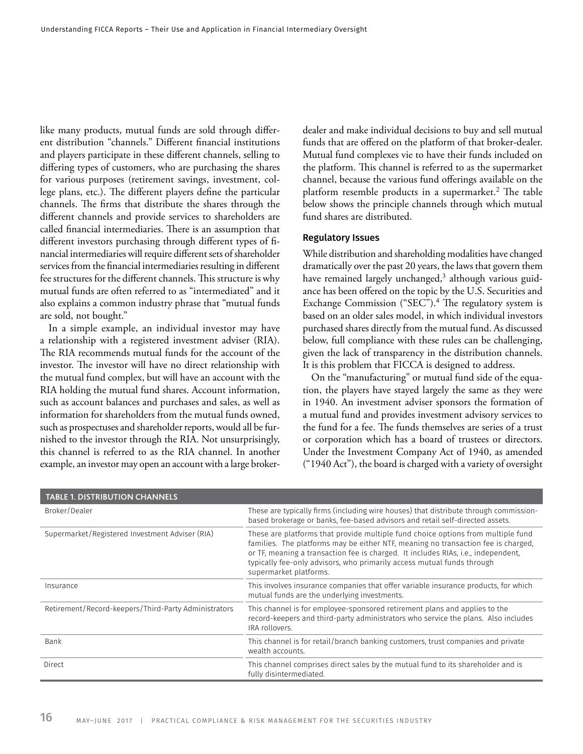like many products, mutual funds are sold through different distribution "channels." Different financial institutions and players participate in these different channels, selling to differing types of customers, who are purchasing the shares for various purposes (retirement savings, investment, college plans, etc.). The different players define the particular channels. The firms that distribute the shares through the different channels and provide services to shareholders are called financial intermediaries. There is an assumption that different investors purchasing through different types of financial intermediaries will require different sets of shareholder services from the financial intermediaries resulting in different fee structures for the different channels. This structure is why mutual funds are often referred to as "intermediated" and it also explains a common industry phrase that "mutual funds are sold, not bought."

In a simple example, an individual investor may have a relationship with a registered investment adviser (RIA). The RIA recommends mutual funds for the account of the investor. The investor will have no direct relationship with the mutual fund complex, but will have an account with the RIA holding the mutual fund shares. Account information, such as account balances and purchases and sales, as well as information for shareholders from the mutual funds owned, such as prospectuses and shareholder reports, would all be furnished to the investor through the RIA. Not unsurprisingly, this channel is referred to as the RIA channel. In another example, an investor may open an account with a large brokerdealer and make individual decisions to buy and sell mutual funds that are offered on the platform of that broker-dealer. Mutual fund complexes vie to have their funds included on the platform. This channel is referred to as the supermarket channel, because the various fund offerings available on the platform resemble products in a supermarket.<sup>2</sup> The table below shows the principle channels through which mutual fund shares are distributed.

#### Regulatory Issues

While distribution and shareholding modalities have changed dramatically over the past 20 years, the laws that govern them have remained largely unchanged,<sup>3</sup> although various guidance has been offered on the topic by the U.S. Securities and Exchange Commission ("SEC").<sup>4</sup> The regulatory system is based on an older sales model, in which individual investors purchased shares directly from the mutual fund. As discussed below, full compliance with these rules can be challenging, given the lack of transparency in the distribution channels. It is this problem that FICCA is designed to address.

On the "manufacturing" or mutual fund side of the equation, the players have stayed largely the same as they were in 1940. An investment adviser sponsors the formation of a mutual fund and provides investment advisory services to the fund for a fee. The funds themselves are series of a trust or corporation which has a board of trustees or directors. Under the Investment Company Act of 1940, as amended ("1940 Act"), the board is charged with a variety of oversight

| <b>TABLE 1. DISTRIBUTION CHANNELS</b>                |                                                                                                                                                                                                                                                                                                                                                                |
|------------------------------------------------------|----------------------------------------------------------------------------------------------------------------------------------------------------------------------------------------------------------------------------------------------------------------------------------------------------------------------------------------------------------------|
| Broker/Dealer                                        | These are typically firms (including wire houses) that distribute through commission-<br>based brokerage or banks, fee-based advisors and retail self-directed assets.                                                                                                                                                                                         |
| Supermarket/Registered Investment Adviser (RIA)      | These are platforms that provide multiple fund choice options from multiple fund<br>families. The platforms may be either NTF, meaning no transaction fee is charged,<br>or TF, meaning a transaction fee is charged. It includes RIAs, i.e., independent,<br>typically fee-only advisors, who primarily access mutual funds through<br>supermarket platforms. |
| Insurance                                            | This involves insurance companies that offer variable insurance products, for which<br>mutual funds are the underlying investments.                                                                                                                                                                                                                            |
| Retirement/Record-keepers/Third-Party Administrators | This channel is for employee-sponsored retirement plans and applies to the<br>record-keepers and third-party administrators who service the plans. Also includes<br>IRA rollovers.                                                                                                                                                                             |
| Bank                                                 | This channel is for retail/branch banking customers, trust companies and private<br>wealth accounts.                                                                                                                                                                                                                                                           |
| Direct                                               | This channel comprises direct sales by the mutual fund to its shareholder and is<br>fully disintermediated.                                                                                                                                                                                                                                                    |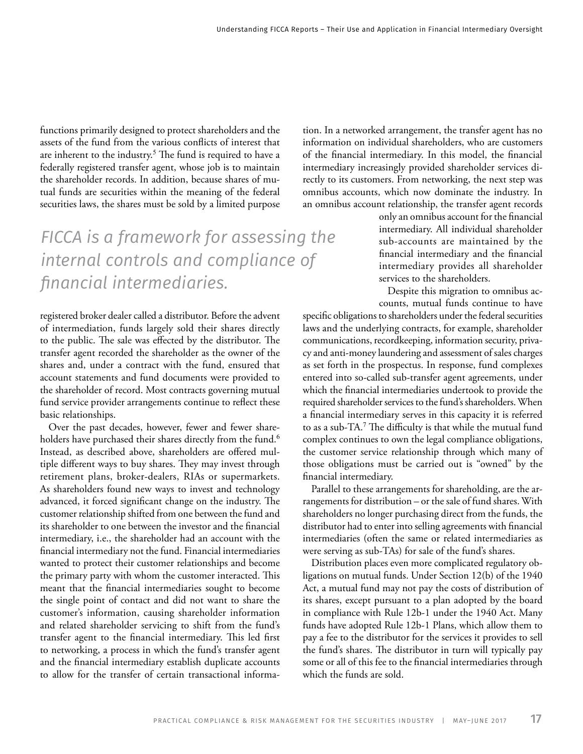functions primarily designed to protect shareholders and the assets of the fund from the various conflicts of interest that are inherent to the industry.<sup>5</sup> The fund is required to have a federally registered transfer agent, whose job is to maintain the shareholder records. In addition, because shares of mutual funds are securities within the meaning of the federal securities laws, the shares must be sold by a limited purpose

## *FICCA is a framework for assessing the internal controls and compliance of financial intermediaries.*

registered broker dealer called a distributor. Before the advent of intermediation, funds largely sold their shares directly to the public. The sale was effected by the distributor. The transfer agent recorded the shareholder as the owner of the shares and, under a contract with the fund, ensured that account statements and fund documents were provided to the shareholder of record. Most contracts governing mutual fund service provider arrangements continue to reflect these basic relationships.

Over the past decades, however, fewer and fewer shareholders have purchased their shares directly from the fund.<sup>6</sup> Instead, as described above, shareholders are offered multiple different ways to buy shares. They may invest through retirement plans, broker-dealers, RIAs or supermarkets. As shareholders found new ways to invest and technology advanced, it forced significant change on the industry. The customer relationship shifted from one between the fund and its shareholder to one between the investor and the financial intermediary, i.e., the shareholder had an account with the financial intermediary not the fund. Financial intermediaries wanted to protect their customer relationships and become the primary party with whom the customer interacted. This meant that the financial intermediaries sought to become the single point of contact and did not want to share the customer's information, causing shareholder information and related shareholder servicing to shift from the fund's transfer agent to the financial intermediary. This led first to networking, a process in which the fund's transfer agent and the financial intermediary establish duplicate accounts to allow for the transfer of certain transactional information. In a networked arrangement, the transfer agent has no information on individual shareholders, who are customers of the financial intermediary. In this model, the financial intermediary increasingly provided shareholder services directly to its customers. From networking, the next step was omnibus accounts, which now dominate the industry. In an omnibus account relationship, the transfer agent records

> only an omnibus account for the financial intermediary. All individual shareholder sub-accounts are maintained by the financial intermediary and the financial intermediary provides all shareholder services to the shareholders.

> Despite this migration to omnibus accounts, mutual funds continue to have

specific obligations to shareholders under the federal securities laws and the underlying contracts, for example, shareholder communications, recordkeeping, information security, privacy and anti-money laundering and assessment of sales charges as set forth in the prospectus. In response, fund complexes entered into so-called sub-transfer agent agreements, under which the financial intermediaries undertook to provide the required shareholder services to the fund's shareholders. When a financial intermediary serves in this capacity it is referred to as a sub-TA.<sup>7</sup> The difficulty is that while the mutual fund complex continues to own the legal compliance obligations, the customer service relationship through which many of those obligations must be carried out is "owned" by the financial intermediary.

Parallel to these arrangements for shareholding, are the arrangements for distribution – or the sale of fund shares. With shareholders no longer purchasing direct from the funds, the distributor had to enter into selling agreements with financial intermediaries (often the same or related intermediaries as were serving as sub-TAs) for sale of the fund's shares.

Distribution places even more complicated regulatory obligations on mutual funds. Under Section 12(b) of the 1940 Act, a mutual fund may not pay the costs of distribution of its shares, except pursuant to a plan adopted by the board in compliance with Rule 12b-1 under the 1940 Act. Many funds have adopted Rule 12b-1 Plans, which allow them to pay a fee to the distributor for the services it provides to sell the fund's shares. The distributor in turn will typically pay some or all of this fee to the financial intermediaries through which the funds are sold.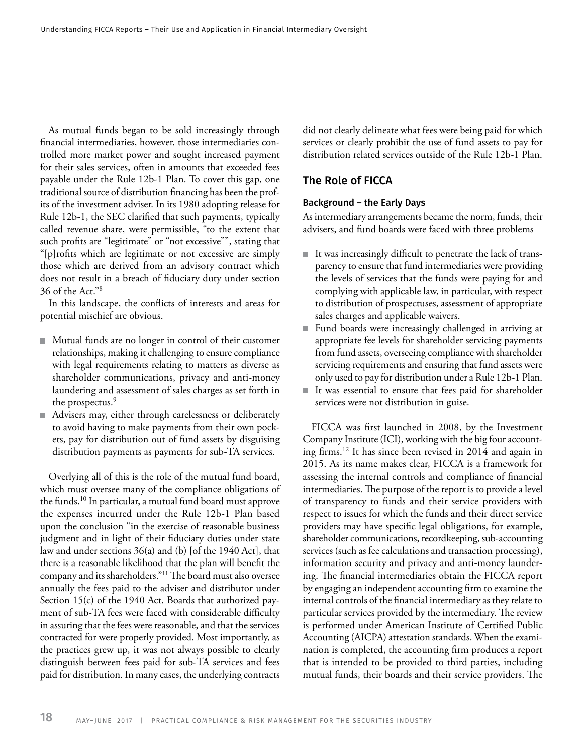As mutual funds began to be sold increasingly through financial intermediaries, however, those intermediaries controlled more market power and sought increased payment for their sales services, often in amounts that exceeded fees payable under the Rule 12b-1 Plan. To cover this gap, one traditional source of distribution financing has been the profits of the investment adviser. In its 1980 adopting release for Rule 12b-1, the SEC clarified that such payments, typically called revenue share, were permissible, "to the extent that such profits are "legitimate" or "not excessive"", stating that "[p]rofits which are legitimate or not excessive are simply those which are derived from an advisory contract which does not result in a breach of fiduciary duty under section 36 of the Act."<sup>8</sup>

In this landscape, the conflicts of interests and areas for potential mischief are obvious.

- Mutual funds are no longer in control of their customer relationships, making it challenging to ensure compliance with legal requirements relating to matters as diverse as shareholder communications, privacy and anti-money laundering and assessment of sales charges as set forth in the prospectus.<sup>9</sup>
- Advisers may, either through carelessness or deliberately to avoid having to make payments from their own pockets, pay for distribution out of fund assets by disguising distribution payments as payments for sub-TA services.

Overlying all of this is the role of the mutual fund board, which must oversee many of the compliance obligations of the funds.<sup>10</sup> In particular, a mutual fund board must approve the expenses incurred under the Rule 12b-1 Plan based upon the conclusion "in the exercise of reasonable business judgment and in light of their fiduciary duties under state law and under sections 36(a) and (b) [of the 1940 Act], that there is a reasonable likelihood that the plan will benefit the company and its shareholders."<sup>11</sup> The board must also oversee annually the fees paid to the adviser and distributor under Section 15(c) of the 1940 Act. Boards that authorized payment of sub-TA fees were faced with considerable difficulty in assuring that the fees were reasonable, and that the services contracted for were properly provided. Most importantly, as the practices grew up, it was not always possible to clearly distinguish between fees paid for sub-TA services and fees paid for distribution. In many cases, the underlying contracts

did not clearly delineate what fees were being paid for which services or clearly prohibit the use of fund assets to pay for distribution related services outside of the Rule 12b-1 Plan.

### The Role of FICCA

#### Background – the Early Days

As intermediary arrangements became the norm, funds, their advisers, and fund boards were faced with three problems

- It was increasingly difficult to penetrate the lack of transparency to ensure that fund intermediaries were providing the levels of services that the funds were paying for and complying with applicable law, in particular, with respect to distribution of prospectuses, assessment of appropriate sales charges and applicable waivers.
- Fund boards were increasingly challenged in arriving at appropriate fee levels for shareholder servicing payments from fund assets, overseeing compliance with shareholder servicing requirements and ensuring that fund assets were only used to pay for distribution under a Rule 12b-1 Plan.
- It was essential to ensure that fees paid for shareholder  $\blacksquare$ services were not distribution in guise.

FICCA was first launched in 2008, by the Investment Company Institute (ICI), working with the big four accounting firms.<sup>12</sup> It has since been revised in 2014 and again in 2015. As its name makes clear, FICCA is a framework for assessing the internal controls and compliance of financial intermediaries. The purpose of the report is to provide a level of transparency to funds and their service providers with respect to issues for which the funds and their direct service providers may have specific legal obligations, for example, shareholder communications, recordkeeping, sub-accounting services (such as fee calculations and transaction processing), information security and privacy and anti-money laundering. The financial intermediaries obtain the FICCA report by engaging an independent accounting firm to examine the internal controls of the financial intermediary as they relate to particular services provided by the intermediary. The review is performed under American Institute of Certified Public Accounting (AICPA) attestation standards. When the examination is completed, the accounting firm produces a report that is intended to be provided to third parties, including mutual funds, their boards and their service providers. The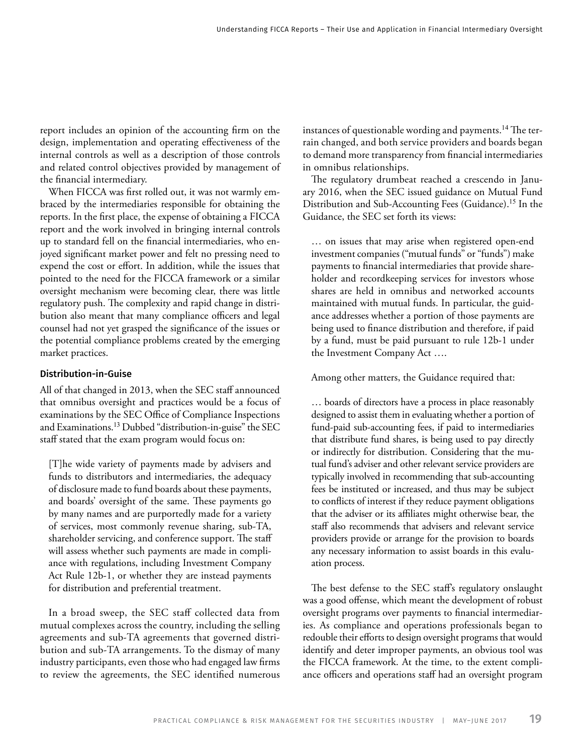report includes an opinion of the accounting firm on the design, implementation and operating effectiveness of the internal controls as well as a description of those controls and related control objectives provided by management of the financial intermediary.

When FICCA was first rolled out, it was not warmly embraced by the intermediaries responsible for obtaining the reports. In the first place, the expense of obtaining a FICCA report and the work involved in bringing internal controls up to standard fell on the financial intermediaries, who enjoyed significant market power and felt no pressing need to expend the cost or effort. In addition, while the issues that pointed to the need for the FICCA framework or a similar oversight mechanism were becoming clear, there was little regulatory push. The complexity and rapid change in distribution also meant that many compliance officers and legal counsel had not yet grasped the significance of the issues or the potential compliance problems created by the emerging market practices.

#### Distribution-in-Guise

All of that changed in 2013, when the SEC staff announced that omnibus oversight and practices would be a focus of examinations by the SEC Office of Compliance Inspections and Examinations.<sup>13</sup> Dubbed "distribution-in-guise" the SEC staff stated that the exam program would focus on:

[T]he wide variety of payments made by advisers and funds to distributors and intermediaries, the adequacy of disclosure made to fund boards about these payments, and boards' oversight of the same. These payments go by many names and are purportedly made for a variety of services, most commonly revenue sharing, sub-TA, shareholder servicing, and conference support. The staff will assess whether such payments are made in compliance with regulations, including Investment Company Act Rule 12b-1, or whether they are instead payments for distribution and preferential treatment.

In a broad sweep, the SEC staff collected data from mutual complexes across the country, including the selling agreements and sub-TA agreements that governed distribution and sub-TA arrangements. To the dismay of many industry participants, even those who had engaged law firms to review the agreements, the SEC identified numerous

instances of questionable wording and payments.<sup>14</sup> The terrain changed, and both service providers and boards began to demand more transparency from financial intermediaries in omnibus relationships.

The regulatory drumbeat reached a crescendo in January 2016, when the SEC issued guidance on Mutual Fund Distribution and Sub-Accounting Fees (Guidance).<sup>15</sup> In the Guidance, the SEC set forth its views:

… on issues that may arise when registered open-end investment companies ("mutual funds" or "funds") make payments to financial intermediaries that provide shareholder and recordkeeping services for investors whose shares are held in omnibus and networked accounts maintained with mutual funds. In particular, the guidance addresses whether a portion of those payments are being used to finance distribution and therefore, if paid by a fund, must be paid pursuant to rule 12b-1 under the Investment Company Act ….

Among other matters, the Guidance required that:

… boards of directors have a process in place reasonably designed to assist them in evaluating whether a portion of fund-paid sub-accounting fees, if paid to intermediaries that distribute fund shares, is being used to pay directly or indirectly for distribution. Considering that the mutual fund's adviser and other relevant service providers are typically involved in recommending that sub-accounting fees be instituted or increased, and thus may be subject to conflicts of interest if they reduce payment obligations that the adviser or its affiliates might otherwise bear, the staff also recommends that advisers and relevant service providers provide or arrange for the provision to boards any necessary information to assist boards in this evaluation process.

The best defense to the SEC staff's regulatory onslaught was a good offense, which meant the development of robust oversight programs over payments to financial intermediaries. As compliance and operations professionals began to redouble their efforts to design oversight programs that would identify and deter improper payments, an obvious tool was the FICCA framework. At the time, to the extent compliance officers and operations staff had an oversight program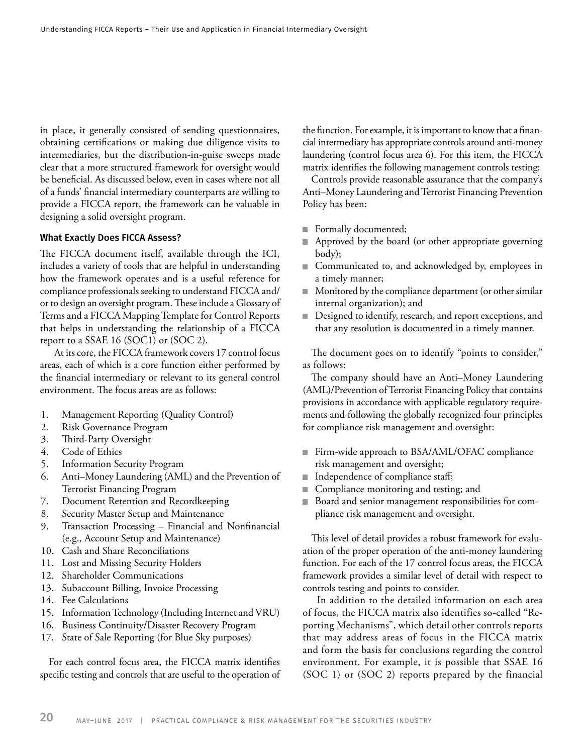in place, it generally consisted of sending questionnaires, obtaining certifications or making due diligence visits to intermediaries, but the distribution-in-guise sweeps made clear that a more structured framework for oversight would be beneficial. As discussed below, even in cases where not all of a funds' financial intermediary counterparts are willing to provide a FICCA report, the framework can be valuable in designing a solid oversight program.

#### What Exactly Does FICCA Assess?

The FICCA document itself, available through the ICI, includes a variety of tools that are helpful in understanding how the framework operates and is a useful reference for compliance professionals seeking to understand FICCA and/ or to design an oversight program. These include a Glossary of Terms and a FICCA Mapping Template for Control Reports that helps in understanding the relationship of a FICCA report to a SSAE 16 (SOC1) or (SOC 2).

 At its core, the FICCA framework covers 17 control focus areas, each of which is a core function either performed by the financial intermediary or relevant to its general control environment. The focus areas are as follows:

- 1. Management Reporting (Quality Control)
- 2. Risk Governance Program
- 3. Third-Party Oversight
- 4. Code of Ethics
- 5. Information Security Program
- 6. Anti–Money Laundering (AML) and the Prevention of Terrorist Financing Program
- 7. Document Retention and Recordkeeping
- 8. Security Master Setup and Maintenance
- 9. Transaction Processing Financial and Nonfinancial (e.g., Account Setup and Maintenance)
- 10. Cash and Share Reconciliations
- 11. Lost and Missing Security Holders
- 12. Shareholder Communications
- 13. Subaccount Billing, Invoice Processing
- 14. Fee Calculations
- 15. Information Technology (Including Internet and VRU)
- 16. Business Continuity/Disaster Recovery Program
- 17. State of Sale Reporting (for Blue Sky purposes)

For each control focus area, the FICCA matrix identifies specific testing and controls that are useful to the operation of the function. For example, it is important to know that a financial intermediary has appropriate controls around anti-money laundering (control focus area 6). For this item, the FICCA matrix identifies the following management controls testing:

Controls provide reasonable assurance that the company's Anti–Money Laundering and Terrorist Financing Prevention Policy has been:

- Formally documented; m.
- Approved by the board (or other appropriate governing body);
- Communicated to, and acknowledged by, employees in a timely manner;
- Monitored by the compliance department (or other similar ٠ internal organization); and
- Designed to identify, research, and report exceptions, and that any resolution is documented in a timely manner.

The document goes on to identify "points to consider," as follows:

The company should have an Anti–Money Laundering (AML)/Prevention of Terrorist Financing Policy that contains provisions in accordance with applicable regulatory requirements and following the globally recognized four principles for compliance risk management and oversight:

- Firm-wide approach to BSA/AML/OFAC compliance risk management and oversight;
- Independence of compliance staff;
- Compliance monitoring and testing; and
- Board and senior management responsibilities for comш pliance risk management and oversight.

This level of detail provides a robust framework for evaluation of the proper operation of the anti-money laundering function. For each of the 17 control focus areas, the FICCA framework provides a similar level of detail with respect to controls testing and points to consider.

 In addition to the detailed information on each area of focus, the FICCA matrix also identifies so-called "Reporting Mechanisms", which detail other controls reports that may address areas of focus in the FICCA matrix and form the basis for conclusions regarding the control environment. For example, it is possible that SSAE 16 (SOC 1) or (SOC 2) reports prepared by the financial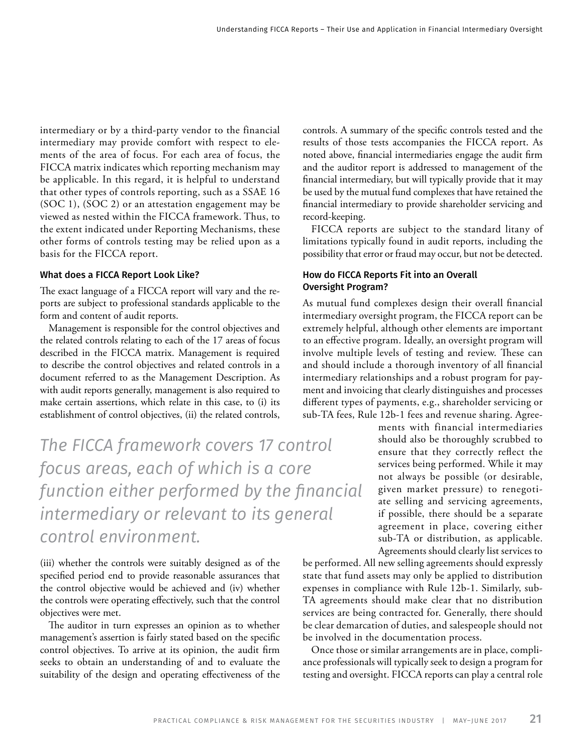intermediary or by a third-party vendor to the financial intermediary may provide comfort with respect to elements of the area of focus. For each area of focus, the FICCA matrix indicates which reporting mechanism may be applicable. In this regard, it is helpful to understand that other types of controls reporting, such as a SSAE 16 (SOC 1), (SOC 2) or an attestation engagement may be viewed as nested within the FICCA framework. Thus, to the extent indicated under Reporting Mechanisms, these other forms of controls testing may be relied upon as a basis for the FICCA report.

#### What does a FICCA Report Look Like?

The exact language of a FICCA report will vary and the reports are subject to professional standards applicable to the form and content of audit reports.

Management is responsible for the control objectives and the related controls relating to each of the 17 areas of focus described in the FICCA matrix. Management is required to describe the control objectives and related controls in a document referred to as the Management Description. As with audit reports generally, management is also required to make certain assertions, which relate in this case, to (i) its establishment of control objectives, (ii) the related controls,

*The FICCA framework covers 17 control focus areas, each of which is a core function either performed by the financial intermediary or relevant to its general control environment.*

(iii) whether the controls were suitably designed as of the specified period end to provide reasonable assurances that the control objective would be achieved and (iv) whether the controls were operating effectively, such that the control objectives were met.

The auditor in turn expresses an opinion as to whether management's assertion is fairly stated based on the specific control objectives. To arrive at its opinion, the audit firm seeks to obtain an understanding of and to evaluate the suitability of the design and operating effectiveness of the

controls. A summary of the specific controls tested and the results of those tests accompanies the FICCA report. As noted above, financial intermediaries engage the audit firm and the auditor report is addressed to management of the financial intermediary, but will typically provide that it may be used by the mutual fund complexes that have retained the financial intermediary to provide shareholder servicing and record-keeping.

FICCA reports are subject to the standard litany of limitations typically found in audit reports, including the possibility that error or fraud may occur, but not be detected.

#### How do FICCA Reports Fit into an Overall Oversight Program?

As mutual fund complexes design their overall financial intermediary oversight program, the FICCA report can be extremely helpful, although other elements are important to an effective program. Ideally, an oversight program will involve multiple levels of testing and review. These can and should include a thorough inventory of all financial intermediary relationships and a robust program for payment and invoicing that clearly distinguishes and processes different types of payments, e.g., shareholder servicing or sub-TA fees, Rule 12b-1 fees and revenue sharing. Agree-

> ments with financial intermediaries should also be thoroughly scrubbed to ensure that they correctly reflect the services being performed. While it may not always be possible (or desirable, given market pressure) to renegotiate selling and servicing agreements, if possible, there should be a separate agreement in place, covering either sub-TA or distribution, as applicable. Agreements should clearly list services to

be performed. All new selling agreements should expressly state that fund assets may only be applied to distribution expenses in compliance with Rule 12b-1. Similarly, sub-TA agreements should make clear that no distribution services are being contracted for. Generally, there should be clear demarcation of duties, and salespeople should not be involved in the documentation process.

Once those or similar arrangements are in place, compliance professionals will typically seek to design a program for testing and oversight. FICCA reports can play a central role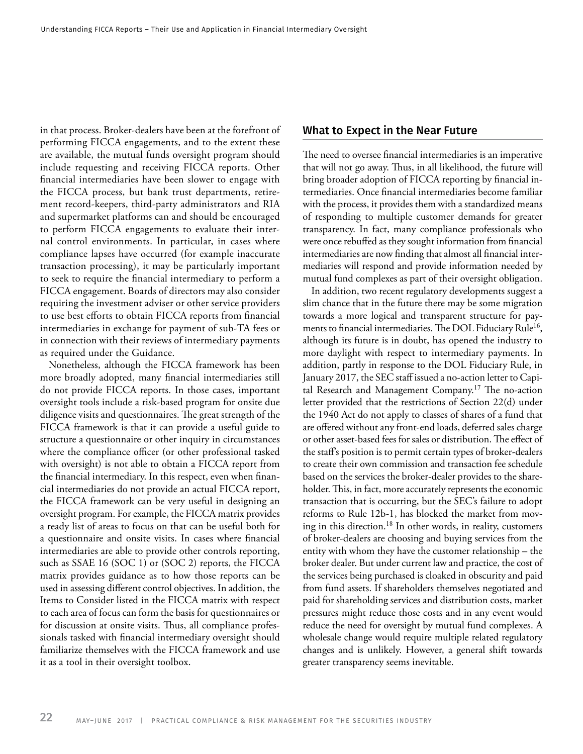in that process. Broker-dealers have been at the forefront of performing FICCA engagements, and to the extent these are available, the mutual funds oversight program should include requesting and receiving FICCA reports. Other financial intermediaries have been slower to engage with the FICCA process, but bank trust departments, retirement record-keepers, third-party administrators and RIA and supermarket platforms can and should be encouraged to perform FICCA engagements to evaluate their internal control environments. In particular, in cases where compliance lapses have occurred (for example inaccurate transaction processing), it may be particularly important to seek to require the financial intermediary to perform a FICCA engagement. Boards of directors may also consider requiring the investment adviser or other service providers to use best efforts to obtain FICCA reports from financial intermediaries in exchange for payment of sub-TA fees or in connection with their reviews of intermediary payments as required under the Guidance.

Nonetheless, although the FICCA framework has been more broadly adopted, many financial intermediaries still do not provide FICCA reports. In those cases, important oversight tools include a risk-based program for onsite due diligence visits and questionnaires. The great strength of the FICCA framework is that it can provide a useful guide to structure a questionnaire or other inquiry in circumstances where the compliance officer (or other professional tasked with oversight) is not able to obtain a FICCA report from the financial intermediary. In this respect, even when financial intermediaries do not provide an actual FICCA report, the FICCA framework can be very useful in designing an oversight program. For example, the FICCA matrix provides a ready list of areas to focus on that can be useful both for a questionnaire and onsite visits. In cases where financial intermediaries are able to provide other controls reporting, such as SSAE 16 (SOC 1) or (SOC 2) reports, the FICCA matrix provides guidance as to how those reports can be used in assessing different control objectives. In addition, the Items to Consider listed in the FICCA matrix with respect to each area of focus can form the basis for questionnaires or for discussion at onsite visits. Thus, all compliance professionals tasked with financial intermediary oversight should familiarize themselves with the FICCA framework and use it as a tool in their oversight toolbox.

#### What to Expect in the Near Future

The need to oversee financial intermediaries is an imperative that will not go away. Thus, in all likelihood, the future will bring broader adoption of FICCA reporting by financial intermediaries. Once financial intermediaries become familiar with the process, it provides them with a standardized means of responding to multiple customer demands for greater transparency. In fact, many compliance professionals who were once rebuffed as they sought information from financial intermediaries are now finding that almost all financial intermediaries will respond and provide information needed by mutual fund complexes as part of their oversight obligation.

In addition, two recent regulatory developments suggest a slim chance that in the future there may be some migration towards a more logical and transparent structure for payments to financial intermediaries. The DOL Fiduciary Rule<sup>16</sup>, although its future is in doubt, has opened the industry to more daylight with respect to intermediary payments. In addition, partly in response to the DOL Fiduciary Rule, in January 2017, the SEC staff issued a no-action letter to Capital Research and Management Company.<sup>17</sup> The no-action letter provided that the restrictions of Section 22(d) under the 1940 Act do not apply to classes of shares of a fund that are offered without any front-end loads, deferred sales charge or other asset-based fees for sales or distribution. The effect of the staff's position is to permit certain types of broker-dealers to create their own commission and transaction fee schedule based on the services the broker-dealer provides to the shareholder. This, in fact, more accurately represents the economic transaction that is occurring, but the SEC's failure to adopt reforms to Rule 12b-1, has blocked the market from moving in this direction.<sup>18</sup> In other words, in reality, customers of broker-dealers are choosing and buying services from the entity with whom they have the customer relationship – the broker dealer. But under current law and practice, the cost of the services being purchased is cloaked in obscurity and paid from fund assets. If shareholders themselves negotiated and paid for shareholding services and distribution costs, market pressures might reduce those costs and in any event would reduce the need for oversight by mutual fund complexes. A wholesale change would require multiple related regulatory changes and is unlikely. However, a general shift towards greater transparency seems inevitable.